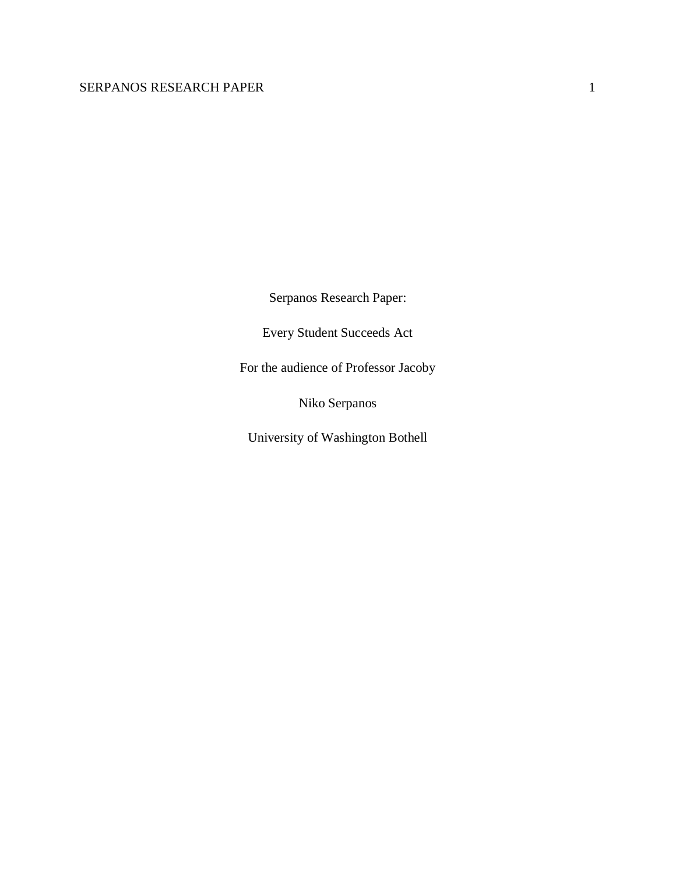Serpanos Research Paper:

Every Student Succeeds Act

For the audience of Professor Jacoby

Niko Serpanos

University of Washington Bothell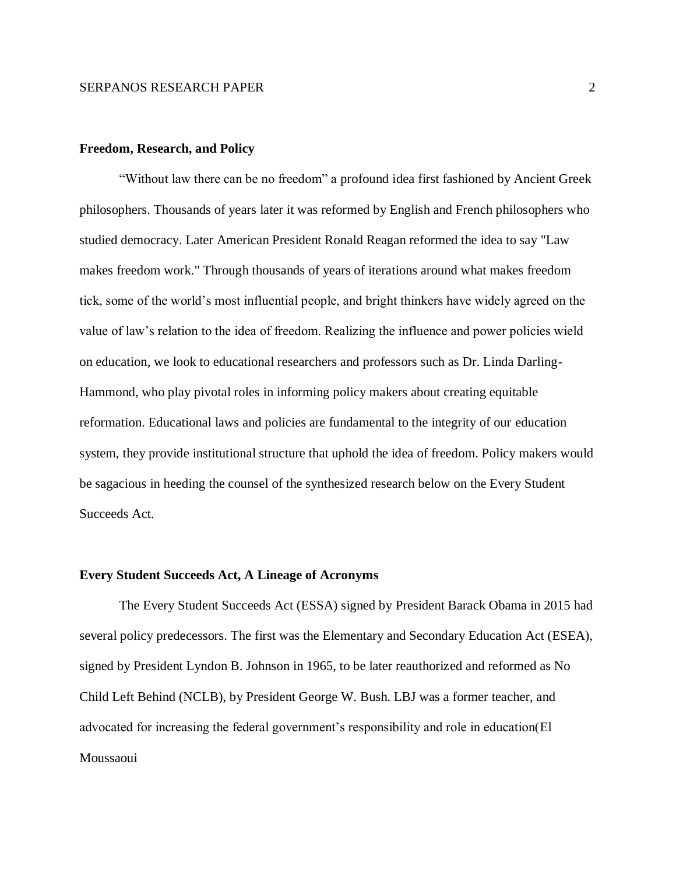# **Freedom, Research, and Policy**

"Without law there can be no freedom" a profound idea first fashioned by Ancient Greek philosophers. Thousands of years later it was reformed by English and French philosophers who studied democracy. Later American President Ronald Reagan reformed the idea to say "Law makes freedom work." Through thousands of years of iterations around what makes freedom tick, some of the world's most influential people, and bright thinkers have widely agreed on the value of law's relation to the idea of freedom. Realizing the influence and power policies wield on education, we look to educational researchers and professors such as Dr. Linda Darling-Hammond, who play pivotal roles in informing policy makers about creating equitable reformation. Educational laws and policies are fundamental to the integrity of our education system, they provide institutional structure that uphold the idea of freedom. Policy makers would be sagacious in heeding the counsel of the synthesized research below on the Every Student Succeeds Act.

#### **Every Student Succeeds Act, A Lineage of Acronyms**

The Every Student Succeeds Act (ESSA) signed by President Barack Obama in 2015 had several policy predecessors. The first was the Elementary and Secondary Education Act (ESEA), signed by President Lyndon B. Johnson in 1965, to be later reauthorized and reformed as No Child Left Behind (NCLB), by President George W. Bush. LBJ was a former teacher, and advocated for increasing the federal government's responsibility and role in education(El Moussaoui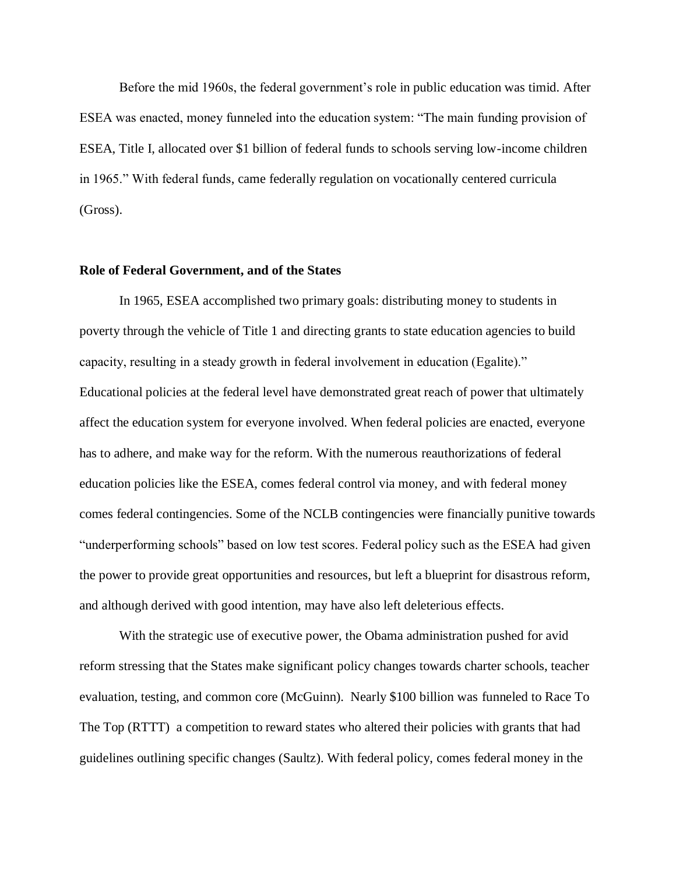Before the mid 1960s, the federal government's role in public education was timid. After ESEA was enacted, money funneled into the education system: "The main funding provision of ESEA, Title I, allocated over \$1 billion of federal funds to schools serving low-income children in 1965." With federal funds, came federally regulation on vocationally centered curricula (Gross).

## **Role of Federal Government, and of the States**

In 1965, ESEA accomplished two primary goals: distributing money to students in poverty through the vehicle of Title 1 and directing grants to state education agencies to build capacity, resulting in a steady growth in federal involvement in education (Egalite)." Educational policies at the federal level have demonstrated great reach of power that ultimately affect the education system for everyone involved. When federal policies are enacted, everyone has to adhere, and make way for the reform. With the numerous reauthorizations of federal education policies like the ESEA, comes federal control via money, and with federal money comes federal contingencies. Some of the NCLB contingencies were financially punitive towards "underperforming schools" based on low test scores. Federal policy such as the ESEA had given the power to provide great opportunities and resources, but left a blueprint for disastrous reform, and although derived with good intention, may have also left deleterious effects.

With the strategic use of executive power, the Obama administration pushed for avid reform stressing that the States make significant policy changes towards charter schools, teacher evaluation, testing, and common core (McGuinn). Nearly \$100 billion was funneled to Race To The Top (RTTT) a competition to reward states who altered their policies with grants that had guidelines outlining specific changes (Saultz). With federal policy, comes federal money in the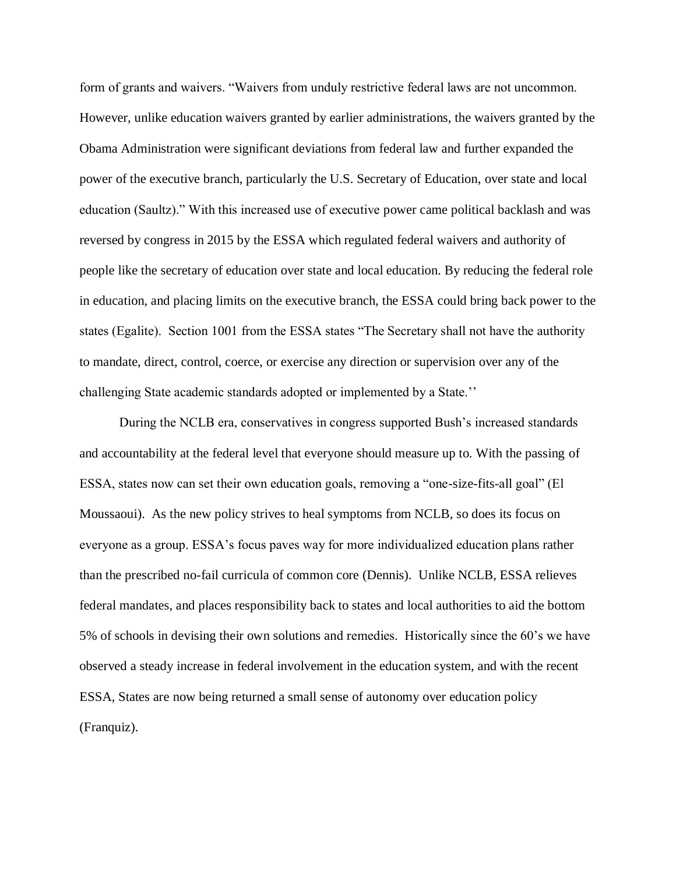form of grants and waivers. "Waivers from unduly restrictive federal laws are not uncommon. However, unlike education waivers granted by earlier administrations, the waivers granted by the Obama Administration were significant deviations from federal law and further expanded the power of the executive branch, particularly the U.S. Secretary of Education, over state and local education (Saultz)." With this increased use of executive power came political backlash and was reversed by congress in 2015 by the ESSA which regulated federal waivers and authority of people like the secretary of education over state and local education. By reducing the federal role in education, and placing limits on the executive branch, the ESSA could bring back power to the states (Egalite). Section 1001 from the ESSA states "The Secretary shall not have the authority to mandate, direct, control, coerce, or exercise any direction or supervision over any of the challenging State academic standards adopted or implemented by a State.''

During the NCLB era, conservatives in congress supported Bush's increased standards and accountability at the federal level that everyone should measure up to. With the passing of ESSA, states now can set their own education goals, removing a "one-size-fits-all goal" (El Moussaoui). As the new policy strives to heal symptoms from NCLB, so does its focus on everyone as a group. ESSA's focus paves way for more individualized education plans rather than the prescribed no-fail curricula of common core (Dennis). Unlike NCLB, ESSA relieves federal mandates, and places responsibility back to states and local authorities to aid the bottom 5% of schools in devising their own solutions and remedies. Historically since the 60's we have observed a steady increase in federal involvement in the education system, and with the recent ESSA, States are now being returned a small sense of autonomy over education policy (Franquiz).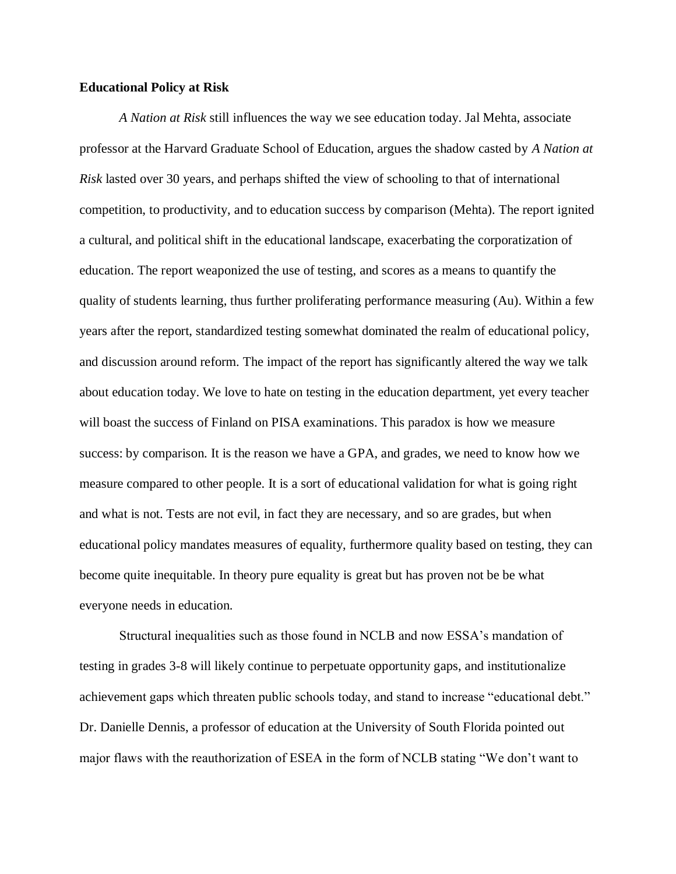## **Educational Policy at Risk**

*A Nation at Risk* still influences the way we see education today. Jal Mehta, associate professor at the Harvard Graduate School of Education, argues the shadow casted by *A Nation at Risk* lasted over 30 years, and perhaps shifted the view of schooling to that of international competition, to productivity, and to education success by comparison (Mehta). The report ignited a cultural, and political shift in the educational landscape, exacerbating the corporatization of education. The report weaponized the use of testing, and scores as a means to quantify the quality of students learning, thus further proliferating performance measuring (Au). Within a few years after the report, standardized testing somewhat dominated the realm of educational policy, and discussion around reform. The impact of the report has significantly altered the way we talk about education today. We love to hate on testing in the education department, yet every teacher will boast the success of Finland on PISA examinations. This paradox is how we measure success: by comparison. It is the reason we have a GPA, and grades, we need to know how we measure compared to other people. It is a sort of educational validation for what is going right and what is not. Tests are not evil, in fact they are necessary, and so are grades, but when educational policy mandates measures of equality, furthermore quality based on testing, they can become quite inequitable. In theory pure equality is great but has proven not be be what everyone needs in education.

Structural inequalities such as those found in NCLB and now ESSA's mandation of testing in grades 3-8 will likely continue to perpetuate opportunity gaps, and institutionalize achievement gaps which threaten public schools today, and stand to increase "educational debt." Dr. Danielle Dennis, a professor of education at the University of South Florida pointed out major flaws with the reauthorization of ESEA in the form of NCLB stating "We don't want to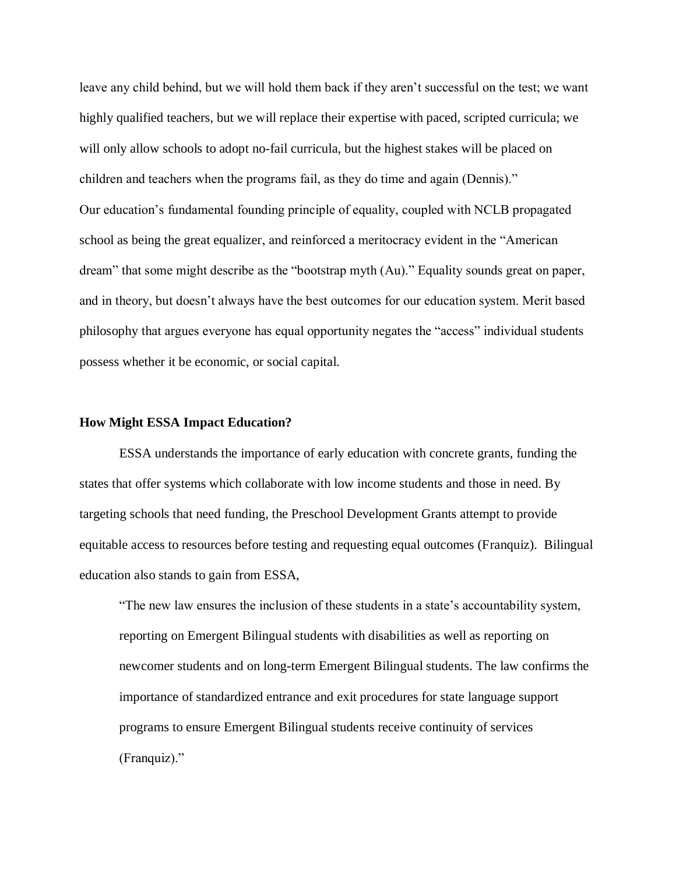leave any child behind, but we will hold them back if they aren't successful on the test; we want highly qualified teachers, but we will replace their expertise with paced, scripted curricula; we will only allow schools to adopt no-fail curricula, but the highest stakes will be placed on children and teachers when the programs fail, as they do time and again (Dennis)." Our education's fundamental founding principle of equality, coupled with NCLB propagated school as being the great equalizer, and reinforced a meritocracy evident in the "American dream" that some might describe as the "bootstrap myth (Au)." Equality sounds great on paper, and in theory, but doesn't always have the best outcomes for our education system. Merit based philosophy that argues everyone has equal opportunity negates the "access" individual students possess whether it be economic, or social capital.

#### **How Might ESSA Impact Education?**

ESSA understands the importance of early education with concrete grants, funding the states that offer systems which collaborate with low income students and those in need. By targeting schools that need funding, the Preschool Development Grants attempt to provide equitable access to resources before testing and requesting equal outcomes (Franquiz). Bilingual education also stands to gain from ESSA,

"The new law ensures the inclusion of these students in a state's accountability system, reporting on Emergent Bilingual students with disabilities as well as reporting on newcomer students and on long-term Emergent Bilingual students. The law confirms the importance of standardized entrance and exit procedures for state language support programs to ensure Emergent Bilingual students receive continuity of services (Franquiz)."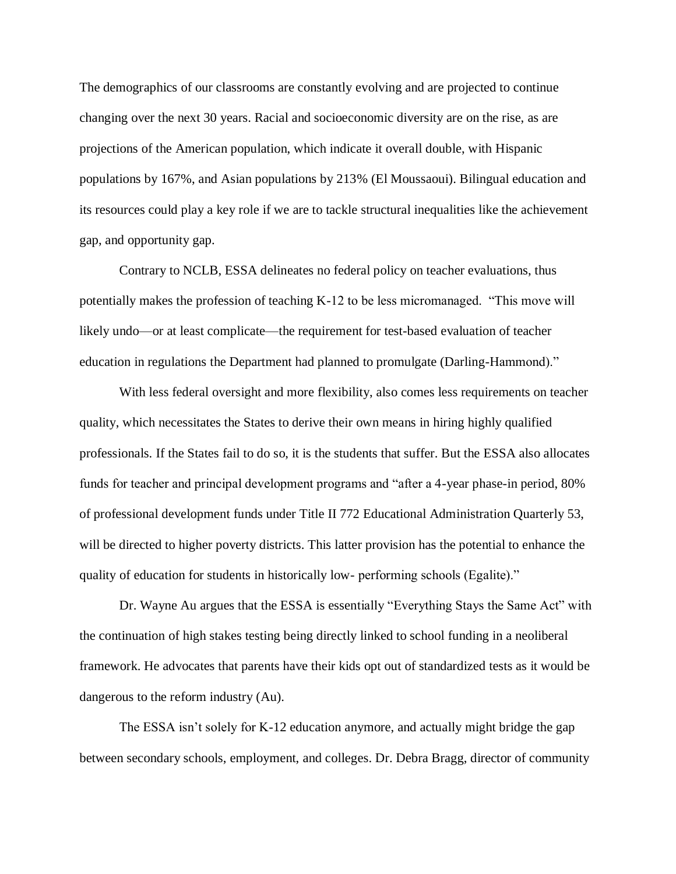The demographics of our classrooms are constantly evolving and are projected to continue changing over the next 30 years. Racial and socioeconomic diversity are on the rise, as are projections of the American population, which indicate it overall double, with Hispanic populations by 167%, and Asian populations by 213% (El Moussaoui). Bilingual education and its resources could play a key role if we are to tackle structural inequalities like the achievement gap, and opportunity gap.

Contrary to NCLB, ESSA delineates no federal policy on teacher evaluations, thus potentially makes the profession of teaching K-12 to be less micromanaged. "This move will likely undo—or at least complicate—the requirement for test-based evaluation of teacher education in regulations the Department had planned to promulgate (Darling-Hammond)."

With less federal oversight and more flexibility, also comes less requirements on teacher quality, which necessitates the States to derive their own means in hiring highly qualified professionals. If the States fail to do so, it is the students that suffer. But the ESSA also allocates funds for teacher and principal development programs and "after a 4-year phase-in period, 80% of professional development funds under Title II 772 Educational Administration Quarterly 53, will be directed to higher poverty districts. This latter provision has the potential to enhance the quality of education for students in historically low- performing schools (Egalite)."

Dr. Wayne Au argues that the ESSA is essentially "Everything Stays the Same Act" with the continuation of high stakes testing being directly linked to school funding in a neoliberal framework. He advocates that parents have their kids opt out of standardized tests as it would be dangerous to the reform industry (Au).

The ESSA isn't solely for K-12 education anymore, and actually might bridge the gap between secondary schools, employment, and colleges. Dr. Debra Bragg, director of community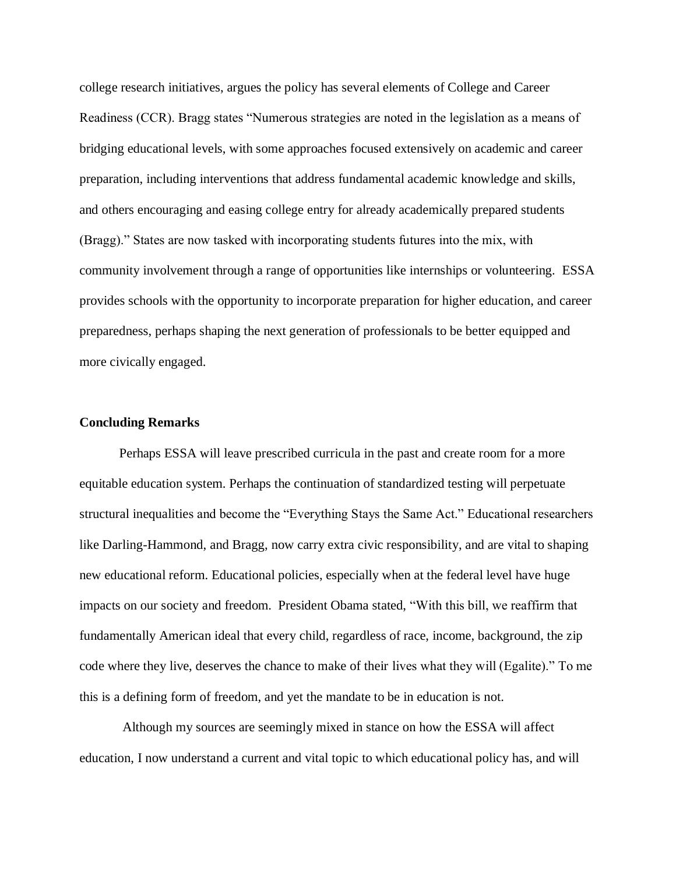college research initiatives, argues the policy has several elements of College and Career Readiness (CCR). Bragg states "Numerous strategies are noted in the legislation as a means of bridging educational levels, with some approaches focused extensively on academic and career preparation, including interventions that address fundamental academic knowledge and skills, and others encouraging and easing college entry for already academically prepared students (Bragg)." States are now tasked with incorporating students futures into the mix, with community involvement through a range of opportunities like internships or volunteering. ESSA provides schools with the opportunity to incorporate preparation for higher education, and career preparedness, perhaps shaping the next generation of professionals to be better equipped and more civically engaged.

## **Concluding Remarks**

Perhaps ESSA will leave prescribed curricula in the past and create room for a more equitable education system. Perhaps the continuation of standardized testing will perpetuate structural inequalities and become the "Everything Stays the Same Act." Educational researchers like Darling-Hammond, and Bragg, now carry extra civic responsibility, and are vital to shaping new educational reform. Educational policies, especially when at the federal level have huge impacts on our society and freedom. President Obama stated, "With this bill, we reaffirm that fundamentally American ideal that every child, regardless of race, income, background, the zip code where they live, deserves the chance to make of their lives what they will (Egalite)." To me this is a defining form of freedom, and yet the mandate to be in education is not.

Although my sources are seemingly mixed in stance on how the ESSA will affect education, I now understand a current and vital topic to which educational policy has, and will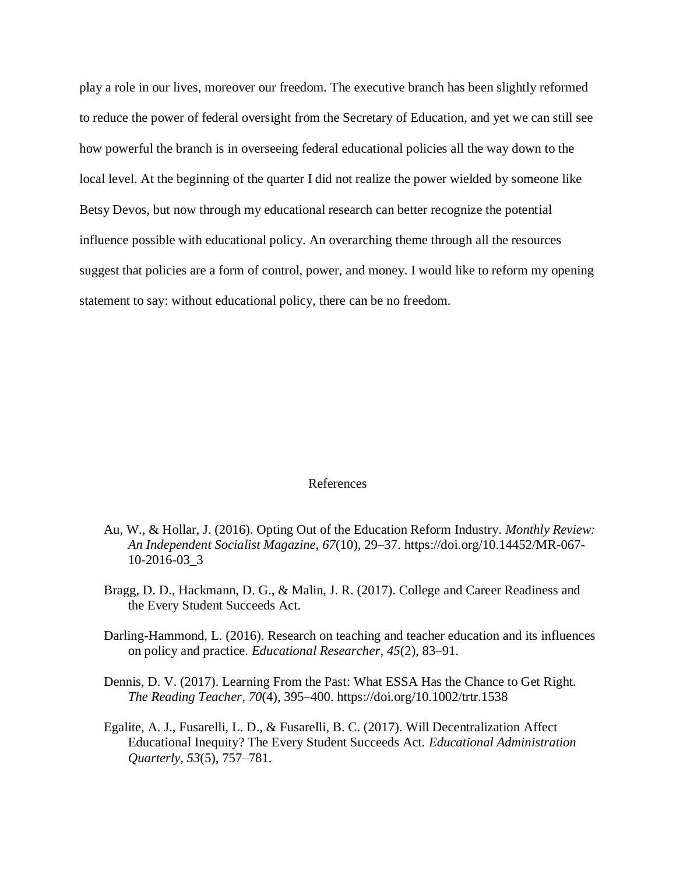play a role in our lives, moreover our freedom. The executive branch has been slightly reformed to reduce the power of federal oversight from the Secretary of Education, and yet we can still see how powerful the branch is in overseeing federal educational policies all the way down to the local level. At the beginning of the quarter I did not realize the power wielded by someone like Betsy Devos, but now through my educational research can better recognize the potential influence possible with educational policy. An overarching theme through all the resources suggest that policies are a form of control, power, and money. I would like to reform my opening statement to say: without educational policy, there can be no freedom.

#### References

- Au, W., & Hollar, J. (2016). Opting Out of the Education Reform Industry. *Monthly Review: An Independent Socialist Magazine*, *67*(10), 29–37. https://doi.org/10.14452/MR-067- 10-2016-03\_3
- Bragg, D. D., Hackmann, D. G., & Malin, J. R. (2017). College and Career Readiness and the Every Student Succeeds Act.
- Darling-Hammond, L. (2016). Research on teaching and teacher education and its influences on policy and practice. *Educational Researcher*, *45*(2), 83–91.
- Dennis, D. V. (2017). Learning From the Past: What ESSA Has the Chance to Get Right. *The Reading Teacher*, *70*(4), 395–400. https://doi.org/10.1002/trtr.1538
- Egalite, A. J., Fusarelli, L. D., & Fusarelli, B. C. (2017). Will Decentralization Affect Educational Inequity? The Every Student Succeeds Act. *Educational Administration Quarterly*, *53*(5), 757–781.